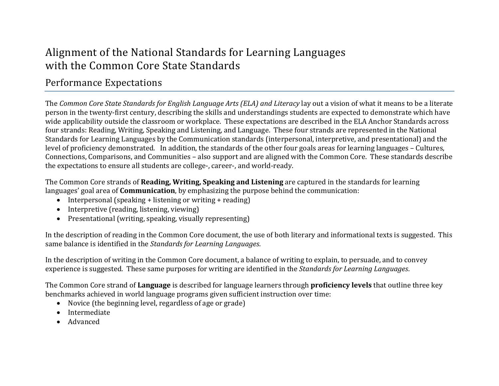## Alignment of the National Standards for Learning Languages with the Common Core State Standards

## Performance Expectations

The *Common Core State Standards for English Language Arts (ELA) and Literacy* lay out a vision of what it means to be a literate person in the twenty-first century, describing the skills and understandings students are expected to demonstrate which have wide applicability outside the classroom or workplace. These expectations are described in the ELA Anchor Standards across four strands: Reading, Writing, Speaking and Listening, and Language. These four strands are represented in the National Standards for Learning Languages by the Communication standards (interpersonal, interpretive, and presentational) and the level of proficiency demonstrated. In addition, the standards of the other four goals areas for learning languages – Cultures, Connections, Comparisons, and Communities – also support and are aligned with the Common Core. These standards describe the expectations to ensure all students are college-, career-, and world-ready.

**The Common Core strands of <b>Reading, Writing, Speaking and Listening** are captured in the standards for learning languages' goal area of **Communication**, by emphasizing the purpose behind the communication:

- Interpersonal (speaking + listening or writing + reading)
- Interpretive (reading, listening, viewing)
- Presentational (writing, speaking, visually representing)

In the description of reading in the Common Core document, the use of both literary and informational texts is suggested. This same balance is identified in the *Standards for Learning Languages*. 

In the description of writing in the Common Core document, a balance of writing to explain, to persuade, and to convey experience is suggested. These same purposes for writing are identified in the *Standards for Learning Languages*.

The Common Core strand of **Language** is described for language learners through **proficiency levels** that outline three key benchmarks achieved in world language programs given sufficient instruction over time:

- $\bullet$  Novice (the beginning level, regardless of age or grade)
- Intermediate
- Advanced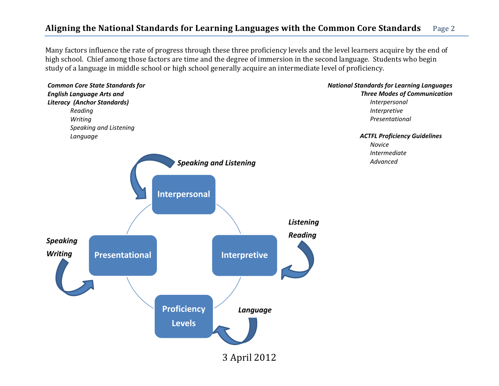## **Aligning the National Standards for Learning Languages with the Common Core Standards** Page 2

Many factors influence the rate of progress through these three proficiency levels and the level learners acquire by the end of high school. Chief among those factors are time and the degree of immersion in the second language. Students who begin study of a language in middle school or high school generally acquire an intermediate level of proficiency.

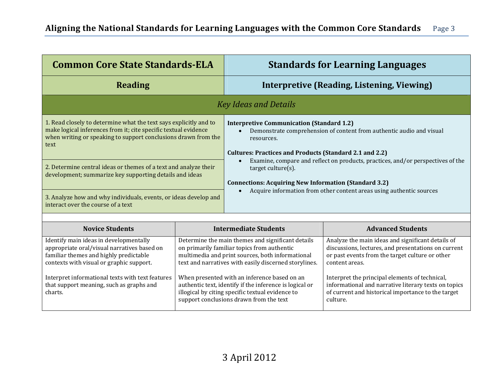| <b>Common Core State Standards-ELA</b>                                                                                                                                                                                                                                                                                                                                                                                                                  |                                                                                                                                                                                                               |                                                                                                                                                                                                                              | <b>Standards for Learning Languages</b>                                                                                                                                                                                         |
|---------------------------------------------------------------------------------------------------------------------------------------------------------------------------------------------------------------------------------------------------------------------------------------------------------------------------------------------------------------------------------------------------------------------------------------------------------|---------------------------------------------------------------------------------------------------------------------------------------------------------------------------------------------------------------|------------------------------------------------------------------------------------------------------------------------------------------------------------------------------------------------------------------------------|---------------------------------------------------------------------------------------------------------------------------------------------------------------------------------------------------------------------------------|
| <b>Reading</b>                                                                                                                                                                                                                                                                                                                                                                                                                                          |                                                                                                                                                                                                               |                                                                                                                                                                                                                              | <b>Interpretive (Reading, Listening, Viewing)</b>                                                                                                                                                                               |
|                                                                                                                                                                                                                                                                                                                                                                                                                                                         |                                                                                                                                                                                                               | <b>Key Ideas and Details</b>                                                                                                                                                                                                 |                                                                                                                                                                                                                                 |
| 1. Read closely to determine what the text says explicitly and to<br>make logical inferences from it; cite specific textual evidence<br>when writing or speaking to support conclusions drawn from the<br>text<br>2. Determine central ideas or themes of a text and analyze their<br>development; summarize key supporting details and ideas<br>3. Analyze how and why individuals, events, or ideas develop and<br>interact over the course of a text |                                                                                                                                                                                                               | <b>Interpretive Communication (Standard 1.2)</b><br>resources.<br><b>Cultures: Practices and Products (Standard 2.1 and 2.2)</b><br>$target$ culture $(s)$ .<br><b>Connections: Acquiring New Information (Standard 3.2)</b> | Demonstrate comprehension of content from authentic audio and visual<br>Examine, compare and reflect on products, practices, and/or perspectives of the<br>Acquire information from other content areas using authentic sources |
| <b>Novice Students</b>                                                                                                                                                                                                                                                                                                                                                                                                                                  |                                                                                                                                                                                                               | <b>Intermediate Students</b>                                                                                                                                                                                                 | <b>Advanced Students</b>                                                                                                                                                                                                        |
| Identify main ideas in developmentally<br>appropriate oral/visual narratives based on<br>familiar themes and highly predictable<br>contexts with visual or graphic support.                                                                                                                                                                                                                                                                             | Determine the main themes and significant details<br>on primarily familiar topics from authentic<br>multimedia and print sources, both informational<br>text and narratives with easily discerned storylines. |                                                                                                                                                                                                                              | Analyze the main ideas and significant details of<br>discussions, lectures, and presentations on current<br>or past events from the target culture or other<br>content areas.                                                   |
| Interpret informational texts with text features<br>that support meaning, such as graphs and<br>charts.                                                                                                                                                                                                                                                                                                                                                 | When presented with an inference based on an<br>authentic text, identify if the inference is logical or<br>illogical by citing specific textual evidence to<br>support conclusions drawn from the text        |                                                                                                                                                                                                                              | Interpret the principal elements of technical,<br>informational and narrative literary texts on topics<br>of current and historical importance to the target<br>culture.                                                        |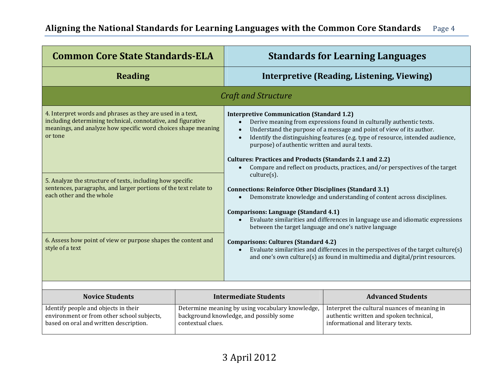| <b>Common Core State Standards-ELA</b>                                                                                                                                                                 |                                                                                             |                                                                                                                                                                                                                                                                                                                                                                                                                                                                                                                                                                                                      | <b>Standards for Learning Languages</b>                                                                                                                                                                                                                                                                          |
|--------------------------------------------------------------------------------------------------------------------------------------------------------------------------------------------------------|---------------------------------------------------------------------------------------------|------------------------------------------------------------------------------------------------------------------------------------------------------------------------------------------------------------------------------------------------------------------------------------------------------------------------------------------------------------------------------------------------------------------------------------------------------------------------------------------------------------------------------------------------------------------------------------------------------|------------------------------------------------------------------------------------------------------------------------------------------------------------------------------------------------------------------------------------------------------------------------------------------------------------------|
| <b>Reading</b>                                                                                                                                                                                         |                                                                                             |                                                                                                                                                                                                                                                                                                                                                                                                                                                                                                                                                                                                      | Interpretive (Reading, Listening, Viewing)                                                                                                                                                                                                                                                                       |
|                                                                                                                                                                                                        |                                                                                             | <b>Craft and Structure</b>                                                                                                                                                                                                                                                                                                                                                                                                                                                                                                                                                                           |                                                                                                                                                                                                                                                                                                                  |
| 4. Interpret words and phrases as they are used in a text,<br>including determining technical, connotative, and figurative<br>meanings, and analyze how specific word choices shape meaning<br>or tone |                                                                                             | <b>Interpretive Communication (Standard 1.2)</b><br>$\bullet$<br>$\bullet$<br>$\bullet$<br>purpose) of authentic written and aural texts.<br><b>Cultures: Practices and Products (Standards 2.1 and 2.2)</b><br>$\bullet$                                                                                                                                                                                                                                                                                                                                                                            | Derive meaning from expressions found in culturally authentic texts.<br>Understand the purpose of a message and point of view of its author.<br>Identify the distinguishing features (e.g. type of resource, intended audience,<br>Compare and reflect on products, practices, and/or perspectives of the target |
| 5. Analyze the structure of texts, including how specific<br>sentences, paragraphs, and larger portions of the text relate to<br>each other and the whole                                              |                                                                                             | $culture(s)$ .<br><b>Connections: Reinforce Other Disciplines (Standard 3.1)</b><br>Demonstrate knowledge and understanding of content across disciplines.<br>$\bullet$<br><b>Comparisons: Language (Standard 4.1)</b><br>Evaluate similarities and differences in language use and idiomatic expressions<br>between the target language and one's native language<br><b>Comparisons: Cultures (Standard 4.2)</b><br>Evaluate similarities and differences in the perspectives of the target culture(s)<br>$\bullet$<br>and one's own culture(s) as found in multimedia and digital/print resources. |                                                                                                                                                                                                                                                                                                                  |
| 6. Assess how point of view or purpose shapes the content and<br>style of a text                                                                                                                       |                                                                                             |                                                                                                                                                                                                                                                                                                                                                                                                                                                                                                                                                                                                      |                                                                                                                                                                                                                                                                                                                  |
| <b>Novice Students</b>                                                                                                                                                                                 |                                                                                             | <b>Intermediate Students</b>                                                                                                                                                                                                                                                                                                                                                                                                                                                                                                                                                                         | <b>Advanced Students</b>                                                                                                                                                                                                                                                                                         |
| Identify people and objects in their<br>environment or from other school subjects,                                                                                                                     | Determine meaning by using vocabulary knowledge,<br>background knowledge, and possibly some |                                                                                                                                                                                                                                                                                                                                                                                                                                                                                                                                                                                                      | Interpret the cultural nuances of meaning in<br>authentic written and spoken technical,                                                                                                                                                                                                                          |

informational and literary texts.

contextual clues.

based on oral and written description.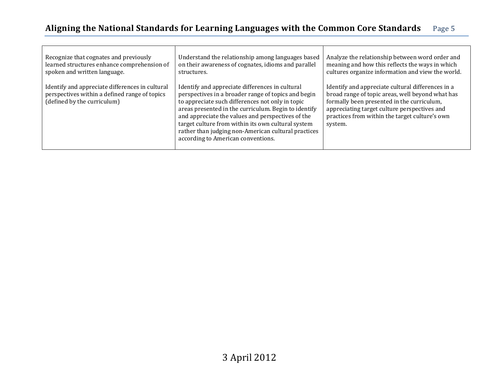г

| Recognize that cognates and previously<br>learned structures enhance comprehension of<br>spoken and written language.           | Understand the relationship among languages based<br>on their awareness of cognates, idioms and parallel<br>structures.                                                                                                                                                                                                                                                                                                    | Analyze the relationship between word order and<br>meaning and how this reflects the ways in which<br>cultures organize information and view the world.                                                                                                          |
|---------------------------------------------------------------------------------------------------------------------------------|----------------------------------------------------------------------------------------------------------------------------------------------------------------------------------------------------------------------------------------------------------------------------------------------------------------------------------------------------------------------------------------------------------------------------|------------------------------------------------------------------------------------------------------------------------------------------------------------------------------------------------------------------------------------------------------------------|
| Identify and appreciate differences in cultural<br>perspectives within a defined range of topics<br>(defined by the curriculum) | Identify and appreciate differences in cultural<br>perspectives in a broader range of topics and begin<br>to appreciate such differences not only in topic<br>areas presented in the curriculum. Begin to identify<br>and appreciate the values and perspectives of the<br>target culture from within its own cultural system<br>rather than judging non-American cultural practices<br>according to American conventions. | Identify and appreciate cultural differences in a<br>broad range of topic areas, well beyond what has<br>formally been presented in the curriculum,<br>appreciating target culture perspectives and<br>practices from within the target culture's own<br>system. |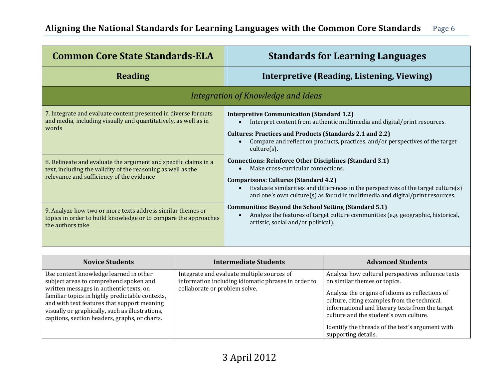| <b>Common Core State Standards-ELA</b>                                                                                                                                                                                                                                                                                     | <b>Standards for Learning Languages</b>                                                                                                                                                                                                                                                                                                                                                                                                                                                                                                                                                                                         |
|----------------------------------------------------------------------------------------------------------------------------------------------------------------------------------------------------------------------------------------------------------------------------------------------------------------------------|---------------------------------------------------------------------------------------------------------------------------------------------------------------------------------------------------------------------------------------------------------------------------------------------------------------------------------------------------------------------------------------------------------------------------------------------------------------------------------------------------------------------------------------------------------------------------------------------------------------------------------|
| <b>Reading</b>                                                                                                                                                                                                                                                                                                             | Interpretive (Reading, Listening, Viewing)                                                                                                                                                                                                                                                                                                                                                                                                                                                                                                                                                                                      |
|                                                                                                                                                                                                                                                                                                                            | Integration of Knowledge and Ideas                                                                                                                                                                                                                                                                                                                                                                                                                                                                                                                                                                                              |
| 7. Integrate and evaluate content presented in diverse formats<br>and media, including visually and quantitatively, as well as in<br>words<br>8. Delineate and evaluate the argument and specific claims in a<br>text, including the validity of the reasoning as well as the<br>relevance and sufficiency of the evidence | <b>Interpretive Communication (Standard 1.2)</b><br>Interpret content from authentic multimedia and digital/print resources.<br><b>Cultures: Practices and Products (Standards 2.1 and 2.2)</b><br>Compare and reflect on products, practices, and/or perspectives of the target<br>$culture(s)$ .<br><b>Connections: Reinforce Other Disciplines (Standard 3.1)</b><br>Make cross-curricular connections.<br><b>Comparisons: Cultures (Standard 4.2)</b><br>Evaluate similarities and differences in the perspectives of the target culture(s)<br>and one's own culture(s) as found in multimedia and digital/print resources. |
| 9. Analyze how two or more texts address similar themes or<br>topics in order to build knowledge or to compare the approaches<br>the authors take                                                                                                                                                                          | <b>Communities: Beyond the School Setting (Standard 5.1)</b><br>Analyze the features of target culture communities (e.g. geographic, historical,<br>$\bullet$<br>artistic, social and/or political).                                                                                                                                                                                                                                                                                                                                                                                                                            |

| <b>Novice Students</b>                                                                                                                                                                                                                                                                                                            | <b>Intermediate Students</b>                                                                                                       | <b>Advanced Students</b>                                                                                                                                                                                                                                                                                                                                      |
|-----------------------------------------------------------------------------------------------------------------------------------------------------------------------------------------------------------------------------------------------------------------------------------------------------------------------------------|------------------------------------------------------------------------------------------------------------------------------------|---------------------------------------------------------------------------------------------------------------------------------------------------------------------------------------------------------------------------------------------------------------------------------------------------------------------------------------------------------------|
| Use content knowledge learned in other<br>subject areas to comprehend spoken and<br>written messages in authentic texts, on<br>familiar topics in highly predictable contexts,<br>and with text features that support meaning<br>visually or graphically, such as illustrations,<br>captions, section headers, graphs, or charts. | Integrate and evaluate multiple sources of<br>information including idiomatic phrases in order to<br>collaborate or problem solve. | Analyze how cultural perspectives influence texts<br>on similar themes or topics.<br>Analyze the origins of idioms as reflections of<br>culture, citing examples from the technical,<br>informational and literary texts from the target<br>culture and the student's own culture.<br>Identify the threads of the text's argument with<br>supporting details. |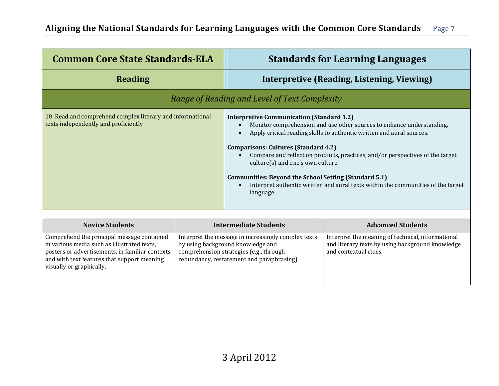| <b>Common Core State Standards-ELA</b>                                                                                                                                                                                  |                                                                                                                                                                                   |                                                                                                                                                                                                                                                                                                                                                                                                                                                                                                                                                       | <b>Standards for Learning Languages</b>                                                                                        |  |
|-------------------------------------------------------------------------------------------------------------------------------------------------------------------------------------------------------------------------|-----------------------------------------------------------------------------------------------------------------------------------------------------------------------------------|-------------------------------------------------------------------------------------------------------------------------------------------------------------------------------------------------------------------------------------------------------------------------------------------------------------------------------------------------------------------------------------------------------------------------------------------------------------------------------------------------------------------------------------------------------|--------------------------------------------------------------------------------------------------------------------------------|--|
| <b>Reading</b>                                                                                                                                                                                                          |                                                                                                                                                                                   |                                                                                                                                                                                                                                                                                                                                                                                                                                                                                                                                                       | Interpretive (Reading, Listening, Viewing)                                                                                     |  |
|                                                                                                                                                                                                                         |                                                                                                                                                                                   | Range of Reading and Level of Text Complexity                                                                                                                                                                                                                                                                                                                                                                                                                                                                                                         |                                                                                                                                |  |
| 10. Read and comprehend complex literary and informational<br>texts independently and proficiently                                                                                                                      |                                                                                                                                                                                   | <b>Interpretive Communication (Standard 1.2)</b><br>Monitor comprehension and use other sources to enhance understanding.<br>Apply critical reading skills to authentic written and aural sources.<br><b>Comparisons: Cultures (Standard 4.2)</b><br>Compare and reflect on products, practices, and/or perspectives of the target<br>culture(s) and one's own culture.<br><b>Communities: Beyond the School Setting (Standard 5.1)</b><br>Interpret authentic written and aural texts within the communities of the target<br>$\bullet$<br>language. |                                                                                                                                |  |
| <b>Novice Students</b>                                                                                                                                                                                                  |                                                                                                                                                                                   | <b>Intermediate Students</b>                                                                                                                                                                                                                                                                                                                                                                                                                                                                                                                          | <b>Advanced Students</b>                                                                                                       |  |
| Comprehend the principal message contained<br>in various media such as illustrated texts,<br>posters or advertisements, in familiar contexts<br>and with text features that support meaning<br>visually or graphically. | Interpret the message in increasingly complex texts<br>by using background knowledge and<br>comprehension strategies (e.g., through<br>redundancy, restatement and paraphrasing). |                                                                                                                                                                                                                                                                                                                                                                                                                                                                                                                                                       | Interpret the meaning of technical, informational<br>and literary texts by using background knowledge<br>and contextual clues. |  |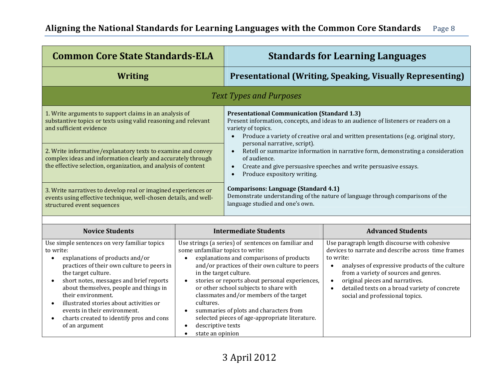| <b>Common Core State Standards-ELA</b>                                                                                                                                                                                                                                                                                                                                                                                                                       |                                                                                                                                                                      |                                                                                                                                                                                                                                                                                                                                                                                      | <b>Standards for Learning Languages</b>                                                                                                                                                                                                                                                                                                                                  |
|--------------------------------------------------------------------------------------------------------------------------------------------------------------------------------------------------------------------------------------------------------------------------------------------------------------------------------------------------------------------------------------------------------------------------------------------------------------|----------------------------------------------------------------------------------------------------------------------------------------------------------------------|--------------------------------------------------------------------------------------------------------------------------------------------------------------------------------------------------------------------------------------------------------------------------------------------------------------------------------------------------------------------------------------|--------------------------------------------------------------------------------------------------------------------------------------------------------------------------------------------------------------------------------------------------------------------------------------------------------------------------------------------------------------------------|
| <b>Writing</b>                                                                                                                                                                                                                                                                                                                                                                                                                                               |                                                                                                                                                                      |                                                                                                                                                                                                                                                                                                                                                                                      | <b>Presentational (Writing, Speaking, Visually Representing)</b>                                                                                                                                                                                                                                                                                                         |
|                                                                                                                                                                                                                                                                                                                                                                                                                                                              |                                                                                                                                                                      | <b>Text Types and Purposes</b>                                                                                                                                                                                                                                                                                                                                                       |                                                                                                                                                                                                                                                                                                                                                                          |
| 1. Write arguments to support claims in an analysis of<br>substantive topics or texts using valid reasoning and relevant<br>and sufficient evidence                                                                                                                                                                                                                                                                                                          |                                                                                                                                                                      | <b>Presentational Communication (Standard 1.3)</b><br>variety of topics.<br>$\bullet$<br>personal narrative, script).                                                                                                                                                                                                                                                                | Present information, concepts, and ideas to an audience of listeners or readers on a<br>Produce a variety of creative oral and written presentations (e.g. original story,                                                                                                                                                                                               |
| 2. Write informative/explanatory texts to examine and convey<br>complex ideas and information clearly and accurately through<br>the effective selection, organization, and analysis of content                                                                                                                                                                                                                                                               |                                                                                                                                                                      | Retell or summarize information in narrative form, demonstrating a consideration<br>$\bullet$<br>of audience.<br>Create and give persuasive speeches and write persuasive essays.<br>$\bullet$<br>Produce expository writing.<br>$\bullet$                                                                                                                                           |                                                                                                                                                                                                                                                                                                                                                                          |
| 3. Write narratives to develop real or imagined experiences or<br>events using effective technique, well-chosen details, and well-<br>structured event sequences                                                                                                                                                                                                                                                                                             |                                                                                                                                                                      | <b>Comparisons: Language (Standard 4.1)</b><br>language studied and one's own.                                                                                                                                                                                                                                                                                                       | Demonstrate understanding of the nature of language through comparisons of the                                                                                                                                                                                                                                                                                           |
| <b>Novice Students</b>                                                                                                                                                                                                                                                                                                                                                                                                                                       |                                                                                                                                                                      | <b>Intermediate Students</b>                                                                                                                                                                                                                                                                                                                                                         | <b>Advanced Students</b>                                                                                                                                                                                                                                                                                                                                                 |
| Use simple sentences on very familiar topics<br>to write:<br>explanations of products and/or<br>$\bullet$<br>practices of their own culture to peers in<br>the target culture.<br>short notes, messages and brief reports<br>$\bullet$<br>about themselves, people and things in<br>their environment.<br>illustrated stories about activities or<br>events in their environment.<br>charts created to identify pros and cons<br>$\bullet$<br>of an argument | some unfamiliar topics to write:<br>$\bullet$<br>in the target culture.<br>$\bullet$<br>cultures.<br>descriptive texts<br>$\bullet$<br>state an opinion<br>$\bullet$ | Use strings (a series) of sentences on familiar and<br>explanations and comparisons of products<br>and/or practices of their own culture to peers<br>stories or reports about personal experiences,<br>or other school subjects to share with<br>classmates and/or members of the target<br>summaries of plots and characters from<br>selected pieces of age-appropriate literature. | Use paragraph length discourse with cohesive<br>devices to narrate and describe across time frames<br>to write:<br>analyses of expressive products of the culture<br>$\bullet$<br>from a variety of sources and genres.<br>original pieces and narratives.<br>$\bullet$<br>detailed texts on a broad variety of concrete<br>$\bullet$<br>social and professional topics. |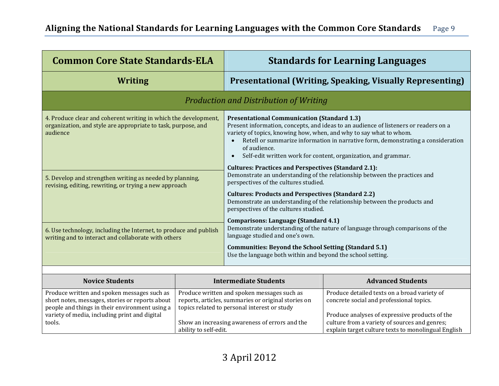| <b>Common Core State Standards-ELA</b>                                                                                                                                                                      |                                                                                                                                                                                                                               |                                                                                                                                                                                                                                                                                                                                                                                                                                                                                                                                                                                                                                                                                                                                                                                                                | <b>Standards for Learning Languages</b>                                                                                                                                                                                                            |
|-------------------------------------------------------------------------------------------------------------------------------------------------------------------------------------------------------------|-------------------------------------------------------------------------------------------------------------------------------------------------------------------------------------------------------------------------------|----------------------------------------------------------------------------------------------------------------------------------------------------------------------------------------------------------------------------------------------------------------------------------------------------------------------------------------------------------------------------------------------------------------------------------------------------------------------------------------------------------------------------------------------------------------------------------------------------------------------------------------------------------------------------------------------------------------------------------------------------------------------------------------------------------------|----------------------------------------------------------------------------------------------------------------------------------------------------------------------------------------------------------------------------------------------------|
| <b>Writing</b>                                                                                                                                                                                              |                                                                                                                                                                                                                               |                                                                                                                                                                                                                                                                                                                                                                                                                                                                                                                                                                                                                                                                                                                                                                                                                | <b>Presentational (Writing, Speaking, Visually Representing)</b>                                                                                                                                                                                   |
|                                                                                                                                                                                                             |                                                                                                                                                                                                                               | <b>Production and Distribution of Writing</b>                                                                                                                                                                                                                                                                                                                                                                                                                                                                                                                                                                                                                                                                                                                                                                  |                                                                                                                                                                                                                                                    |
| 4. Produce clear and coherent writing in which the development,<br>organization, and style are appropriate to task, purpose, and<br>audience                                                                |                                                                                                                                                                                                                               | <b>Presentational Communication (Standard 1.3)</b><br>Present information, concepts, and ideas to an audience of listeners or readers on a<br>variety of topics, knowing how, when, and why to say what to whom.<br>Retell or summarize information in narrative form, demonstrating a consideration<br>of audience.<br>Self-edit written work for content, organization, and grammar.<br><b>Cultures: Practices and Perspectives (Standard 2.1):</b><br>Demonstrate an understanding of the relationship between the practices and<br>perspectives of the cultures studied.<br><b>Cultures: Products and Perspectives (Standard 2.2)</b><br>Demonstrate an understanding of the relationship between the products and<br>perspectives of the cultures studied.<br><b>Comparisons: Language (Standard 4.1)</b> |                                                                                                                                                                                                                                                    |
| 5. Develop and strengthen writing as needed by planning,<br>revising, editing, rewriting, or trying a new approach                                                                                          |                                                                                                                                                                                                                               |                                                                                                                                                                                                                                                                                                                                                                                                                                                                                                                                                                                                                                                                                                                                                                                                                |                                                                                                                                                                                                                                                    |
| 6. Use technology, including the Internet, to produce and publish<br>writing and to interact and collaborate with others                                                                                    |                                                                                                                                                                                                                               | Demonstrate understanding of the nature of language through comparisons of the<br>language studied and one's own.<br><b>Communities: Beyond the School Setting (Standard 5.1)</b><br>Use the language both within and beyond the school setting.                                                                                                                                                                                                                                                                                                                                                                                                                                                                                                                                                               |                                                                                                                                                                                                                                                    |
| <b>Novice Students</b>                                                                                                                                                                                      |                                                                                                                                                                                                                               | <b>Intermediate Students</b>                                                                                                                                                                                                                                                                                                                                                                                                                                                                                                                                                                                                                                                                                                                                                                                   | <b>Advanced Students</b>                                                                                                                                                                                                                           |
| Produce written and spoken messages such as<br>short notes, messages, stories or reports about<br>people and things in their environment using a<br>variety of media, including print and digital<br>tools. | Produce written and spoken messages such as<br>reports, articles, summaries or original stories on<br>topics related to personal interest or study<br>Show an increasing awareness of errors and the<br>ability to self-edit. |                                                                                                                                                                                                                                                                                                                                                                                                                                                                                                                                                                                                                                                                                                                                                                                                                | Produce detailed texts on a broad variety of<br>concrete social and professional topics.<br>Produce analyses of expressive products of the<br>culture from a variety of sources and genres;<br>explain target culture texts to monolingual English |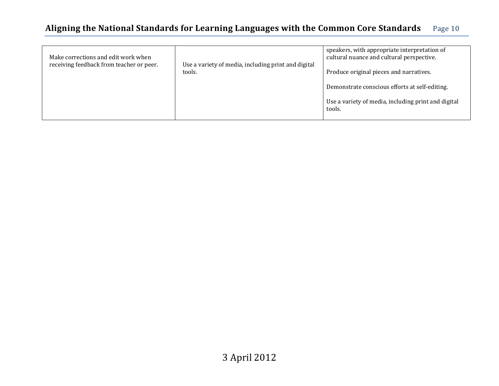| Make corrections and edit work when<br>receiving feedback from teacher or peer. | Use a variety of media, including print and digital<br>tools. | speakers, with appropriate interpretation of<br>cultural nuance and cultural perspective. |
|---------------------------------------------------------------------------------|---------------------------------------------------------------|-------------------------------------------------------------------------------------------|
|                                                                                 |                                                               | Produce original pieces and narratives.                                                   |
|                                                                                 |                                                               | Demonstrate conscious efforts at self-editing.                                            |
|                                                                                 |                                                               | Use a variety of media, including print and digital<br>tools.                             |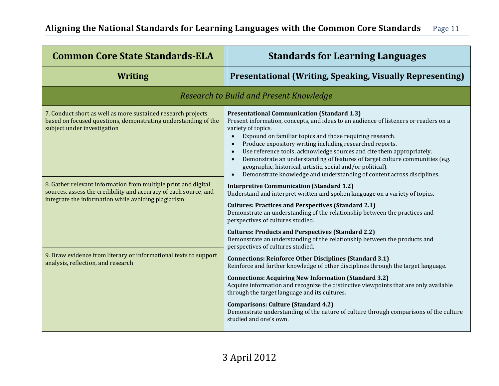| <b>Common Core State Standards-ELA</b>                                                                                                                                                    | <b>Standards for Learning Languages</b>                                                                                                                                                                                                                                                                                                                                                                                                                                                                                                                                                                                                                     |
|-------------------------------------------------------------------------------------------------------------------------------------------------------------------------------------------|-------------------------------------------------------------------------------------------------------------------------------------------------------------------------------------------------------------------------------------------------------------------------------------------------------------------------------------------------------------------------------------------------------------------------------------------------------------------------------------------------------------------------------------------------------------------------------------------------------------------------------------------------------------|
| <b>Writing</b>                                                                                                                                                                            | <b>Presentational (Writing, Speaking, Visually Representing)</b>                                                                                                                                                                                                                                                                                                                                                                                                                                                                                                                                                                                            |
|                                                                                                                                                                                           | <b>Research to Build and Present Knowledge</b>                                                                                                                                                                                                                                                                                                                                                                                                                                                                                                                                                                                                              |
| 7. Conduct short as well as more sustained research projects<br>based on focused questions, demonstrating understanding of the<br>subject under investigation                             | <b>Presentational Communication (Standard 1.3)</b><br>Present information, concepts, and ideas to an audience of listeners or readers on a<br>variety of topics.<br>Expound on familiar topics and those requiring research.<br>$\bullet$<br>Produce expository writing including researched reports.<br>$\bullet$<br>Use reference tools, acknowledge sources and cite them appropriately.<br>$\bullet$<br>Demonstrate an understanding of features of target culture communities (e.g.<br>$\bullet$<br>geographic, historical, artistic, social and/or political).<br>Demonstrate knowledge and understanding of content across disciplines.<br>$\bullet$ |
| 8. Gather relevant information from multiple print and digital<br>sources, assess the credibility and accuracy of each source, and<br>integrate the information while avoiding plagiarism | <b>Interpretive Communication (Standard 1.2)</b><br>Understand and interpret written and spoken language on a variety of topics.<br><b>Cultures: Practices and Perspectives (Standard 2.1)</b><br>Demonstrate an understanding of the relationship between the practices and<br>perspectives of cultures studied.<br><b>Cultures: Products and Perspectives (Standard 2.2)</b>                                                                                                                                                                                                                                                                              |
|                                                                                                                                                                                           | Demonstrate an understanding of the relationship between the products and<br>perspectives of cultures studied.                                                                                                                                                                                                                                                                                                                                                                                                                                                                                                                                              |
| 9. Draw evidence from literary or informational texts to support<br>analysis, reflection, and research                                                                                    | <b>Connections: Reinforce Other Disciplines (Standard 3.1)</b><br>Reinforce and further knowledge of other disciplines through the target language.                                                                                                                                                                                                                                                                                                                                                                                                                                                                                                         |
|                                                                                                                                                                                           | <b>Connections: Acquiring New Information (Standard 3.2)</b><br>Acquire information and recognize the distinctive viewpoints that are only available<br>through the target language and its cultures.                                                                                                                                                                                                                                                                                                                                                                                                                                                       |
|                                                                                                                                                                                           | <b>Comparisons: Culture (Standard 4.2)</b><br>Demonstrate understanding of the nature of culture through comparisons of the culture<br>studied and one's own.                                                                                                                                                                                                                                                                                                                                                                                                                                                                                               |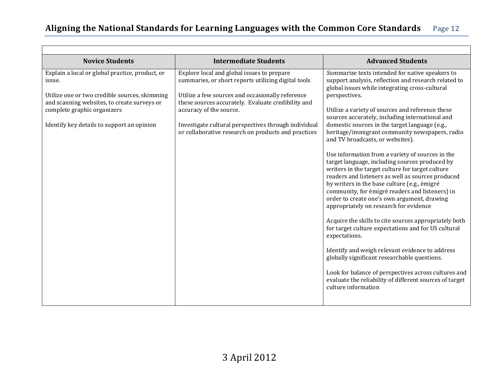┑

 $\Gamma$ 

| <b>Novice Students</b>                                                                                                                                                                                                                 | <b>Intermediate Students</b>                                                                                                                                                                                                                                                                                                                          | <b>Advanced Students</b>                                                                                                                                                                                                                                                                                                                                                                                                                                                                                                                                                                                                                 |
|----------------------------------------------------------------------------------------------------------------------------------------------------------------------------------------------------------------------------------------|-------------------------------------------------------------------------------------------------------------------------------------------------------------------------------------------------------------------------------------------------------------------------------------------------------------------------------------------------------|------------------------------------------------------------------------------------------------------------------------------------------------------------------------------------------------------------------------------------------------------------------------------------------------------------------------------------------------------------------------------------------------------------------------------------------------------------------------------------------------------------------------------------------------------------------------------------------------------------------------------------------|
| Explain a local or global practice, product, or<br>issue.<br>Utilize one or two credible sources, skimming<br>and scanning websites, to create surveys or<br>complete graphic organizers<br>Identify key details to support an opinion | Explore local and global issues to prepare<br>summaries, or short reports utilizing digital tools<br>Utilize a few sources and occasionally reference<br>these sources accurately. Evaluate credibility and<br>accuracy of the source.<br>Investigate cultural perspectives through individual<br>or collaborative research on products and practices | Summarize texts intended for native speakers to<br>support analysis, reflection and research related to<br>global issues while integrating cross-cultural<br>perspectives.<br>Utilize a variety of sources and reference these<br>sources accurately, including international and<br>domestic sources in the target language (e.g.,<br>heritage/immigrant community newspapers, radio<br>and TV broadcasts, or websites).<br>Use information from a variety of sources in the<br>target language, including sources produced by<br>writers in the target culture for target culture<br>readers and listeners as well as sources produced |
|                                                                                                                                                                                                                                        |                                                                                                                                                                                                                                                                                                                                                       | by writers in the base culture (e.g., émigré<br>community, for émigré readers and listeners) in<br>order to create one's own argument, drawing<br>appropriately on research for evidence<br>Acquire the skills to cite sources appropriately both<br>for target culture expectations and for US cultural                                                                                                                                                                                                                                                                                                                                 |
|                                                                                                                                                                                                                                        |                                                                                                                                                                                                                                                                                                                                                       | expectations.<br>Identify and weigh relevant evidence to address<br>globally significant researchable questions.                                                                                                                                                                                                                                                                                                                                                                                                                                                                                                                         |
|                                                                                                                                                                                                                                        |                                                                                                                                                                                                                                                                                                                                                       | Look for balance of perspectives across cultures and<br>evaluate the reliability of different sources of target<br>culture information                                                                                                                                                                                                                                                                                                                                                                                                                                                                                                   |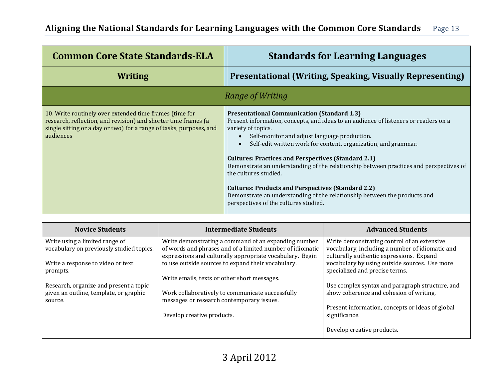| <b>Common Core State Standards-ELA</b>                                                                                                                                                                        | <b>Standards for Learning Languages</b>                                                                                                                                                                                                                                                                                                                                                                                                                                                                                                                                                                                                                             |
|---------------------------------------------------------------------------------------------------------------------------------------------------------------------------------------------------------------|---------------------------------------------------------------------------------------------------------------------------------------------------------------------------------------------------------------------------------------------------------------------------------------------------------------------------------------------------------------------------------------------------------------------------------------------------------------------------------------------------------------------------------------------------------------------------------------------------------------------------------------------------------------------|
| Writing                                                                                                                                                                                                       | <b>Presentational (Writing, Speaking, Visually Representing)</b>                                                                                                                                                                                                                                                                                                                                                                                                                                                                                                                                                                                                    |
|                                                                                                                                                                                                               | Range of Writing                                                                                                                                                                                                                                                                                                                                                                                                                                                                                                                                                                                                                                                    |
| 10. Write routinely over extended time frames (time for<br>research, reflection, and revision) and shorter time frames (a<br>single sitting or a day or two) for a range of tasks, purposes, and<br>audiences | <b>Presentational Communication (Standard 1.3)</b><br>Present information, concepts, and ideas to an audience of listeners or readers on a<br>variety of topics.<br>Self-monitor and adjust language production.<br>$\bullet$<br>Self-edit written work for content, organization, and grammar.<br><b>Cultures: Practices and Perspectives (Standard 2.1)</b><br>Demonstrate an understanding of the relationship between practices and perspectives of<br>the cultures studied.<br><b>Cultures: Products and Perspectives (Standard 2.2)</b><br>Demonstrate an understanding of the relationship between the products and<br>perspectives of the cultures studied. |

| <b>Novice Students</b>                                                     | <b>Intermediate Students</b>                                                                                                                                                  | <b>Advanced Students</b>                                                                                                                   |
|----------------------------------------------------------------------------|-------------------------------------------------------------------------------------------------------------------------------------------------------------------------------|--------------------------------------------------------------------------------------------------------------------------------------------|
| Write using a limited range of<br>vocabulary on previously studied topics. | Write demonstrating a command of an expanding number<br>of words and phrases and of a limited number of idiomatic<br>expressions and culturally appropriate vocabulary. Begin | Write demonstrating control of an extensive<br>vocabulary, including a number of idiomatic and<br>culturally authentic expressions. Expand |
| Write a response to video or text<br>prompts.                              | to use outside sources to expand their vocabulary.                                                                                                                            | vocabulary by using outside sources. Use more<br>specialized and precise terms.                                                            |
|                                                                            | Write emails, texts or other short messages.                                                                                                                                  |                                                                                                                                            |
| Research, organize and present a topic                                     |                                                                                                                                                                               | Use complex syntax and paragraph structure, and                                                                                            |
| given an outline, template, or graphic<br>source.                          | Work collaboratively to communicate successfully<br>messages or research contemporary issues.                                                                                 | show coherence and cohesion of writing.                                                                                                    |
|                                                                            | Develop creative products.                                                                                                                                                    | Present information, concepts or ideas of global<br>significance.                                                                          |
|                                                                            |                                                                                                                                                                               | Develop creative products.                                                                                                                 |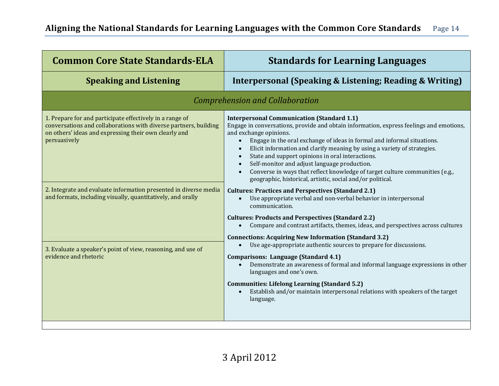| <b>Common Core State Standards-ELA</b>                                                                                                                                                                                                                                    | <b>Standards for Learning Languages</b>                                                                                                                                                                                                                                                                                                                                                                                                                                                                                                                                                      |  |  |  |
|---------------------------------------------------------------------------------------------------------------------------------------------------------------------------------------------------------------------------------------------------------------------------|----------------------------------------------------------------------------------------------------------------------------------------------------------------------------------------------------------------------------------------------------------------------------------------------------------------------------------------------------------------------------------------------------------------------------------------------------------------------------------------------------------------------------------------------------------------------------------------------|--|--|--|
| <b>Speaking and Listening</b>                                                                                                                                                                                                                                             | <b>Interpersonal (Speaking &amp; Listening; Reading &amp; Writing)</b>                                                                                                                                                                                                                                                                                                                                                                                                                                                                                                                       |  |  |  |
| <b>Comprehension and Collaboration</b>                                                                                                                                                                                                                                    |                                                                                                                                                                                                                                                                                                                                                                                                                                                                                                                                                                                              |  |  |  |
| 1. Prepare for and participate effectively in a range of<br>conversations and collaborations with diverse partners, building<br>on others' ideas and expressing their own clearly and<br>persuasively<br>2. Integrate and evaluate information presented in diverse media | <b>Interpersonal Communication (Standard 1.1)</b><br>Engage in conversations, provide and obtain information, express feelings and emotions,<br>and exchange opinions.<br>Engage in the oral exchange of ideas in formal and informal situations.<br>$\bullet$<br>Elicit information and clarify meaning by using a variety of strategies.<br>State and support opinions in oral interactions.<br>Self-monitor and adjust language production.<br>Converse in ways that reflect knowledge of target culture communities (e.g.,<br>geographic, historical, artistic, social and/or political. |  |  |  |
| and formats, including visually, quantitatively, and orally                                                                                                                                                                                                               | <b>Cultures: Practices and Perspectives (Standard 2.1)</b><br>Use appropriate verbal and non-verbal behavior in interpersonal<br>communication.<br><b>Cultures: Products and Perspectives (Standard 2.2)</b>                                                                                                                                                                                                                                                                                                                                                                                 |  |  |  |
|                                                                                                                                                                                                                                                                           | Compare and contrast artifacts, themes, ideas, and perspectives across cultures<br>$\bullet$<br><b>Connections: Acquiring New Information (Standard 3.2)</b>                                                                                                                                                                                                                                                                                                                                                                                                                                 |  |  |  |
| 3. Evaluate a speaker's point of view, reasoning, and use of<br>evidence and rhetoric                                                                                                                                                                                     | Use age-appropriate authentic sources to prepare for discussions.<br>$\bullet$<br>Comparisons: Language (Standard 4.1)<br>Demonstrate an awareness of formal and informal language expressions in other<br>languages and one's own.<br><b>Communities: Lifelong Learning (Standard 5.2)</b><br>Establish and/or maintain interpersonal relations with speakers of the target<br>language.                                                                                                                                                                                                    |  |  |  |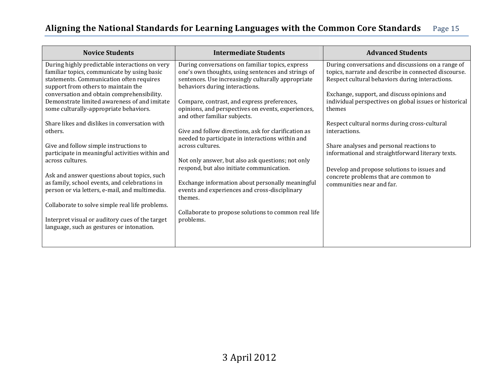| <b>Novice Students</b>                          | <b>Intermediate Students</b>                                                       | <b>Advanced Students</b>                               |
|-------------------------------------------------|------------------------------------------------------------------------------------|--------------------------------------------------------|
| During highly predictable interactions on very  | During conversations on familiar topics, express                                   | During conversations and discussions on a range of     |
| familiar topics, communicate by using basic     | one's own thoughts, using sentences and strings of                                 | topics, narrate and describe in connected discourse.   |
| statements. Communication often requires        | sentences. Use increasingly culturally appropriate                                 | Respect cultural behaviors during interactions.        |
| support from others to maintain the             | behaviors during interactions.                                                     |                                                        |
| conversation and obtain comprehensibility.      |                                                                                    | Exchange, support, and discuss opinions and            |
| Demonstrate limited awareness of and imitate    | Compare, contrast, and express preferences,                                        | individual perspectives on global issues or historical |
| some culturally-appropriate behaviors.          | opinions, and perspectives on events, experiences,<br>and other familiar subjects. | themes                                                 |
| Share likes and dislikes in conversation with   |                                                                                    | Respect cultural norms during cross-cultural           |
| others.                                         | Give and follow directions, ask for clarification as                               | interactions.                                          |
|                                                 | needed to participate in interactions within and                                   |                                                        |
| Give and follow simple instructions to          | across cultures.                                                                   | Share analyses and personal reactions to               |
| participate in meaningful activities within and |                                                                                    | informational and straightforward literary texts.      |
| across cultures.                                | Not only answer, but also ask questions; not only                                  |                                                        |
|                                                 | respond, but also initiate communication.                                          | Develop and propose solutions to issues and            |
| Ask and answer questions about topics, such     |                                                                                    | concrete problems that are common to                   |
| as family, school events, and celebrations in   | Exchange information about personally meaningful                                   | communities near and far.                              |
| person or via letters, e-mail, and multimedia.  | events and experiences and cross-disciplinary                                      |                                                        |
|                                                 | themes.                                                                            |                                                        |
| Collaborate to solve simple real life problems. |                                                                                    |                                                        |
|                                                 | Collaborate to propose solutions to common real life                               |                                                        |
| Interpret visual or auditory cues of the target | problems.                                                                          |                                                        |
| language, such as gestures or intonation.       |                                                                                    |                                                        |
|                                                 |                                                                                    |                                                        |
|                                                 |                                                                                    |                                                        |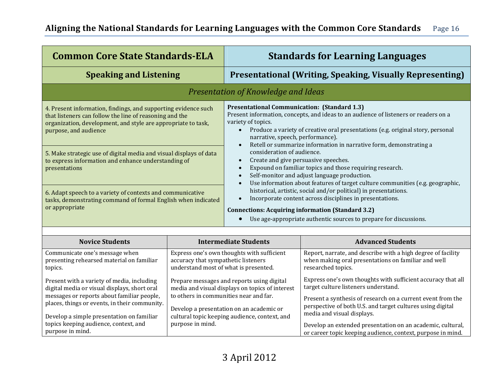| <b>Common Core State Standards-ELA</b>                                                                                                                                                                                                                                                                                                                            | <b>Standards for Learning Languages</b>                                                                                                                                                                                                                                                                                                                                                                                                                                                                                                                                                                                                                                                |  |  |  |
|-------------------------------------------------------------------------------------------------------------------------------------------------------------------------------------------------------------------------------------------------------------------------------------------------------------------------------------------------------------------|----------------------------------------------------------------------------------------------------------------------------------------------------------------------------------------------------------------------------------------------------------------------------------------------------------------------------------------------------------------------------------------------------------------------------------------------------------------------------------------------------------------------------------------------------------------------------------------------------------------------------------------------------------------------------------------|--|--|--|
| <b>Speaking and Listening</b>                                                                                                                                                                                                                                                                                                                                     | <b>Presentational (Writing, Speaking, Visually Representing)</b>                                                                                                                                                                                                                                                                                                                                                                                                                                                                                                                                                                                                                       |  |  |  |
| Presentation of Knowledge and Ideas                                                                                                                                                                                                                                                                                                                               |                                                                                                                                                                                                                                                                                                                                                                                                                                                                                                                                                                                                                                                                                        |  |  |  |
| 4. Present information, findings, and supporting evidence such<br>that listeners can follow the line of reasoning and the<br>organization, development, and style are appropriate to task,<br>purpose, and audience<br>5. Make strategic use of digital media and visual displays of data<br>to express information and enhance understanding of<br>presentations | <b>Presentational Communication: (Standard 1.3)</b><br>Present information, concepts, and ideas to an audience of listeners or readers on a<br>variety of topics.<br>Produce a variety of creative oral presentations (e.g. original story, personal<br>narrative, speech, performance).<br>Retell or summarize information in narrative form, demonstrating a<br>$\bullet$<br>consideration of audience.<br>Create and give persuasive speeches.<br>$\bullet$<br>Expound on familiar topics and those requiring research.<br>$\bullet$<br>Self-monitor and adjust language production.<br>$\bullet$<br>Use information about features of target culture communities (e.g. geographic, |  |  |  |
| 6. Adapt speech to a variety of contexts and communicative<br>tasks, demonstrating command of formal English when indicated<br>or appropriate                                                                                                                                                                                                                     | historical, artistic, social and/or political) in presentations.<br>Incorporate content across disciplines in presentations.<br><b>Connections: Acquiring information (Standard 3.2)</b><br>Use age-appropriate authentic sources to prepare for discussions.                                                                                                                                                                                                                                                                                                                                                                                                                          |  |  |  |

| <b>Novice Students</b>                                                                                                                                                                    | <b>Intermediate Students</b>                                                                                                                                                        | <b>Advanced Students</b>                                                                                                                                                                                                                                        |
|-------------------------------------------------------------------------------------------------------------------------------------------------------------------------------------------|-------------------------------------------------------------------------------------------------------------------------------------------------------------------------------------|-----------------------------------------------------------------------------------------------------------------------------------------------------------------------------------------------------------------------------------------------------------------|
| Communicate one's message when<br>presenting rehearsed material on familiar<br>topics.                                                                                                    | Express one's own thoughts with sufficient<br>accuracy that sympathetic listeners<br>understand most of what is presented.                                                          | Report, narrate, and describe with a high degree of facility<br>when making oral presentations on familiar and well<br>researched topics.                                                                                                                       |
| Present with a variety of media, including<br>digital media or visual displays, short oral<br>messages or reports about familiar people,<br>places, things or events, in their community. | Prepare messages and reports using digital<br>media and visual displays on topics of interest<br>to others in communities near and far.<br>Develop a presentation on an academic or | Express one's own thoughts with sufficient accuracy that all<br>target culture listeners understand.<br>Present a synthesis of research on a current event from the<br>perspective of both U.S. and target cultures using digital<br>media and visual displays. |
| Develop a simple presentation on familiar<br>topics keeping audience, context, and<br>purpose in mind.                                                                                    | cultural topic keeping audience, context, and<br>purpose in mind.                                                                                                                   | Develop an extended presentation on an academic, cultural,<br>or career topic keeping audience, context, purpose in mind.                                                                                                                                       |